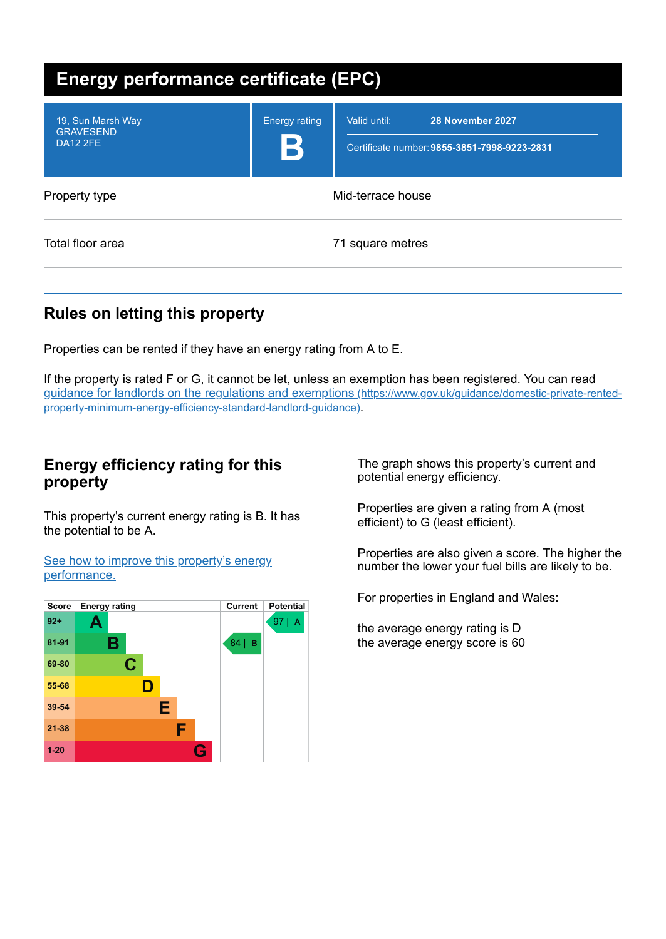| <b>Energy performance certificate (EPC)</b>              |                      |                                                                                  |  |
|----------------------------------------------------------|----------------------|----------------------------------------------------------------------------------|--|
| 19, Sun Marsh Way<br><b>GRAVESEND</b><br><b>DA12 2FE</b> | <b>Energy rating</b> | 28 November 2027<br>Valid until:<br>Certificate number: 9855-3851-7998-9223-2831 |  |
| Property type                                            | Mid-terrace house    |                                                                                  |  |
| Total floor area                                         | 71 square metres     |                                                                                  |  |

# **Rules on letting this property**

Properties can be rented if they have an energy rating from A to E.

If the property is rated F or G, it cannot be let, unless an exemption has been registered. You can read guidance for landlords on the regulations and exemptions (https://www.gov.uk/guidance/domestic-private-rented[property-minimum-energy-efficiency-standard-landlord-guidance\)](https://www.gov.uk/guidance/domestic-private-rented-property-minimum-energy-efficiency-standard-landlord-guidance).

## **Energy efficiency rating for this property**

This property's current energy rating is B. It has the potential to be A.

See how to improve this property's energy [performance.](#page-2-0)



The graph shows this property's current and potential energy efficiency.

Properties are given a rating from A (most efficient) to G (least efficient).

Properties are also given a score. The higher the number the lower your fuel bills are likely to be.

For properties in England and Wales:

the average energy rating is D the average energy score is 60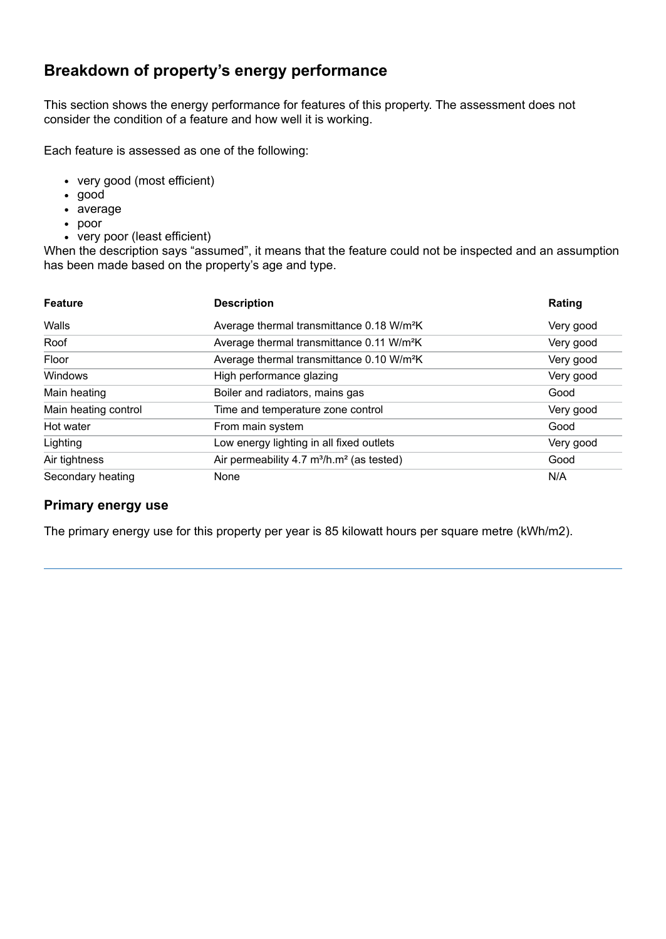# **Breakdown of property's energy performance**

This section shows the energy performance for features of this property. The assessment does not consider the condition of a feature and how well it is working.

Each feature is assessed as one of the following:

- very good (most efficient)
- good
- average
- poor
- very poor (least efficient)

When the description says "assumed", it means that the feature could not be inspected and an assumption has been made based on the property's age and type.

| <b>Feature</b>       | <b>Description</b>                                                | Rating    |
|----------------------|-------------------------------------------------------------------|-----------|
| Walls                | Average thermal transmittance 0.18 W/m <sup>2</sup> K             | Very good |
| Roof                 | Average thermal transmittance 0.11 W/m <sup>2</sup> K             | Very good |
| Floor                | Average thermal transmittance 0.10 W/m <sup>2</sup> K             | Very good |
| Windows              | High performance glazing                                          | Very good |
| Main heating         | Boiler and radiators, mains gas                                   | Good      |
| Main heating control | Time and temperature zone control                                 | Very good |
| Hot water            | From main system                                                  | Good      |
| Lighting             | Low energy lighting in all fixed outlets                          | Very good |
| Air tightness        | Air permeability 4.7 m <sup>3</sup> /h.m <sup>2</sup> (as tested) | Good      |
| Secondary heating    | None                                                              | N/A       |

#### **Primary energy use**

The primary energy use for this property per year is 85 kilowatt hours per square metre (kWh/m2).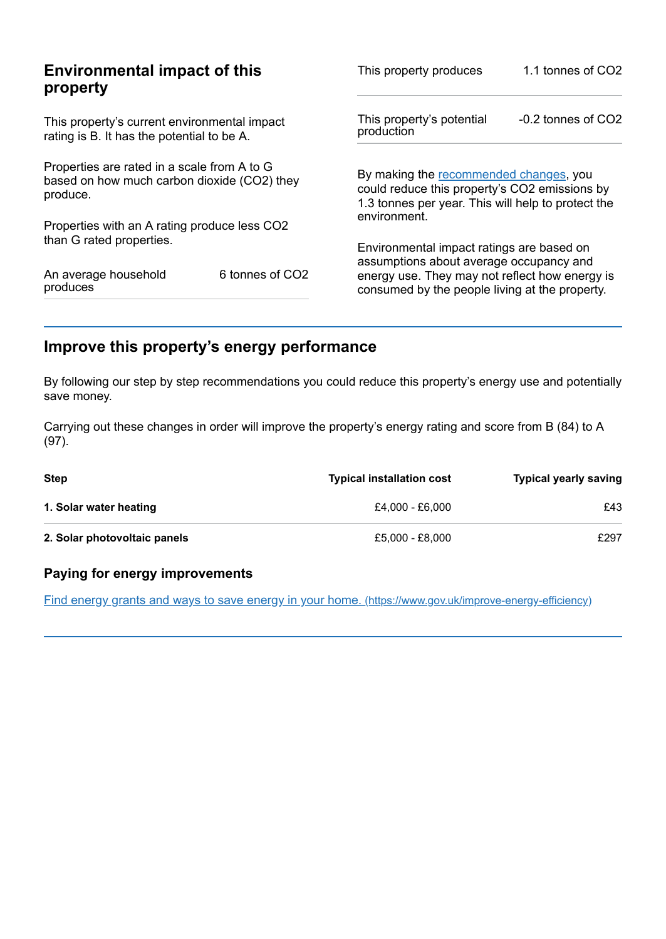|                                                                                                                                                                                                               | 1.1 tonnes of CO2                                                                                                                                                         |
|---------------------------------------------------------------------------------------------------------------------------------------------------------------------------------------------------------------|---------------------------------------------------------------------------------------------------------------------------------------------------------------------------|
|                                                                                                                                                                                                               | $-0.2$ tonnes of $CO2$                                                                                                                                                    |
| By making the recommended changes, you<br>could reduce this property's CO2 emissions by<br>1.3 tonnes per year. This will help to protect the                                                                 |                                                                                                                                                                           |
|                                                                                                                                                                                                               |                                                                                                                                                                           |
|                                                                                                                                                                                                               |                                                                                                                                                                           |
| energy use. They may not reflect how energy is<br>consumed by the people living at the property.                                                                                                              |                                                                                                                                                                           |
| This property's current environmental impact<br>Properties are rated in a scale from A to G<br>based on how much carbon dioxide (CO2) they<br>Properties with an A rating produce less CO2<br>6 tonnes of CO2 | This property produces<br>This property's potential<br>production<br>environment.<br>Environmental impact ratings are based on<br>assumptions about average occupancy and |

# <span id="page-2-0"></span>**Improve this property's energy performance**

By following our step by step recommendations you could reduce this property's energy use and potentially save money.

Carrying out these changes in order will improve the property's energy rating and score from B (84) to A (97).

| Step                         | <b>Typical installation cost</b> | <b>Typical yearly saving</b> |
|------------------------------|----------------------------------|------------------------------|
| 1. Solar water heating       | £4.000 - £6.000                  | £43                          |
| 2. Solar photovoltaic panels | £5,000 - £8,000                  | £297                         |

## **Paying for energy improvements**

Find energy grants and ways to save energy in your home. [\(https://www.gov.uk/improve-energy-efficiency\)](https://www.gov.uk/improve-energy-efficiency)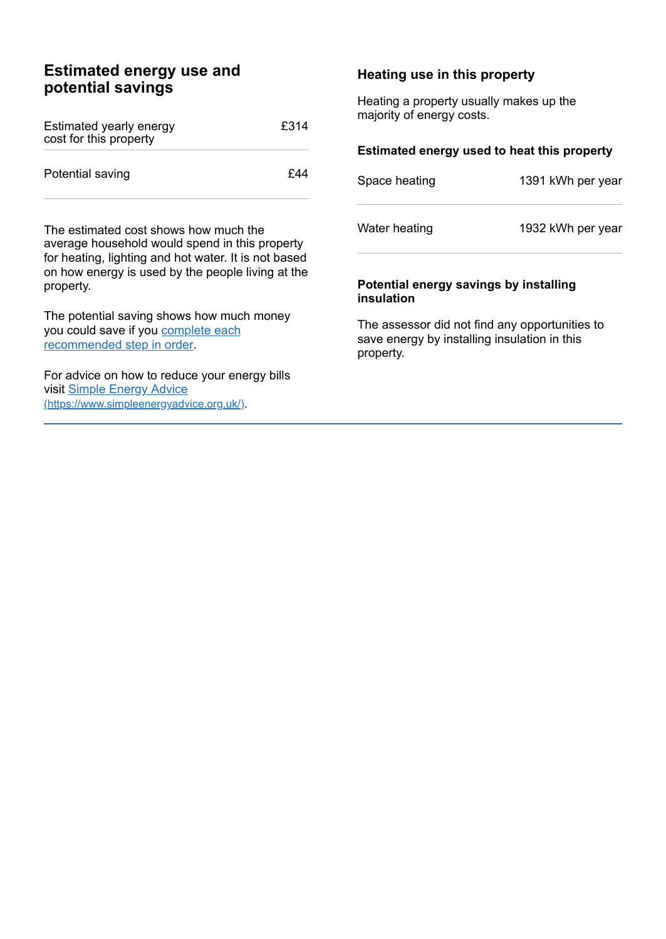## **Estimated energy use and potential savings**

| Estimated yearly energy<br>cost for this property | £314 |
|---------------------------------------------------|------|
| Potential saving                                  | £44  |

The estimated cost shows how much the average household would spend in this property for heating, lighting and hot water. It is not based on how energy is used by the people living at the property.

The potential saving shows how much money you could save if you complete each [recommended](#page-2-0) step in order.

For advice on how to reduce your energy bills visit Simple Energy Advice [\(https://www.simpleenergyadvice.org.uk/\)](https://www.simpleenergyadvice.org.uk/).

#### **Heating use in this property**

Heating a property usually makes up the majority of energy costs.

#### **Estimated energy used to heat this property**

| Space heating | 1391 kWh per year |
|---------------|-------------------|
| Water heating | 1932 kWh per year |

#### **Potential energy savings by installing insulation**

The assessor did not find any opportunities to save energy by installing insulation in this property.